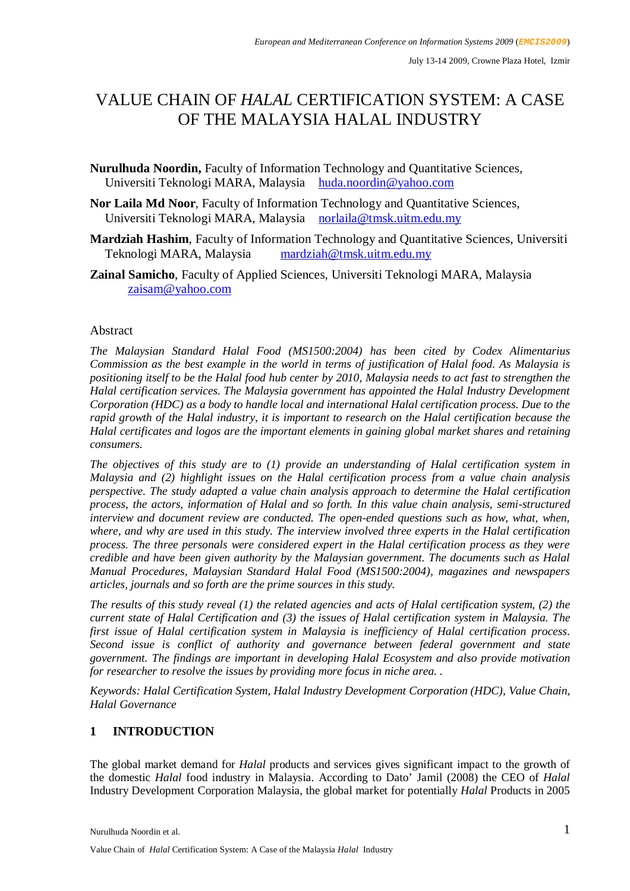# VALUE CHAIN OF *HALAL* CERTIFICATION SYSTEM: A CASE OF THE MALAYSIA HALAL INDUSTRY

**Nurulhuda Noordin,** Faculty of Information Technology and Quantitative Sciences, Universiti Teknologi MARA, Malaysia huda.noordin@yahoo.com

- **Nor Laila Md Noor**, Faculty of Information Technology and Quantitative Sciences, Universiti Teknologi MARA, Malaysia norlaila@tmsk.uitm.edu.my
- **Mardziah Hashim**, Faculty of Information Technology and Quantitative Sciences, Universiti Teknologi MARA, Malaysia mardziah@tmsk.uitm.edu.my
- **Zainal Samicho**, Faculty of Applied Sciences, Universiti Teknologi MARA, Malaysia zaisam@yahoo.com

## Abstract

*The Malaysian Standard Halal Food (MS1500:2004) has been cited by Codex Alimentarius Commission as the best example in the world in terms of justification of Halal food. As Malaysia is positioning itself to be the Halal food hub center by 2010, Malaysia needs to act fast to strengthen the Halal certification services. The Malaysia government has appointed the Halal Industry Development Corporation (HDC) as a body to handle local and international Halal certification process. Due to the rapid growth of the Halal industry, it is important to research on the Halal certification because the Halal certificates and logos are the important elements in gaining global market shares and retaining consumers.*

*The objectives of this study are to (1) provide an understanding of Halal certification system in Malaysia and (2) highlight issues on the Halal certification process from a value chain analysis perspective. The study adapted a value chain analysis approach to determine the Halal certification process, the actors, information of Halal and so forth. In this value chain analysis, semi-structured interview and document review are conducted. The open-ended questions such as how, what, when, where, and why are used in this study. The interview involved three experts in the Halal certification process. The three personals were considered expert in the Halal certification process as they were credible and have been given authority by the Malaysian government. The documents such as Halal Manual Procedures, Malaysian Standard Halal Food (MS1500:2004), magazines and newspapers articles, journals and so forth are the prime sources in this study.*

*The results of this study reveal (1) the related agencies and acts of Halal certification system, (2) the current state of Halal Certification and (3) the issues of Halal certification system in Malaysia. The first issue of Halal certification system in Malaysia is inefficiency of Halal certification process. Second issue is conflict of authority and governance between federal government and state government. The findings are important in developing Halal Ecosystem and also provide motivation for researcher to resolve the issues by providing more focus in niche area. .*

*Keywords: Halal Certification System, Halal Industry Development Corporation (HDC), Value Chain, Halal Governance*

# **1 INTRODUCTION**

The global market demand for *Halal* products and services gives significant impact to the growth of the domestic *Halal* food industry in Malaysia. According to Dato' Jamil (2008) the CEO of *Halal* Industry Development Corporation Malaysia, the global market for potentially *Halal* Products in 2005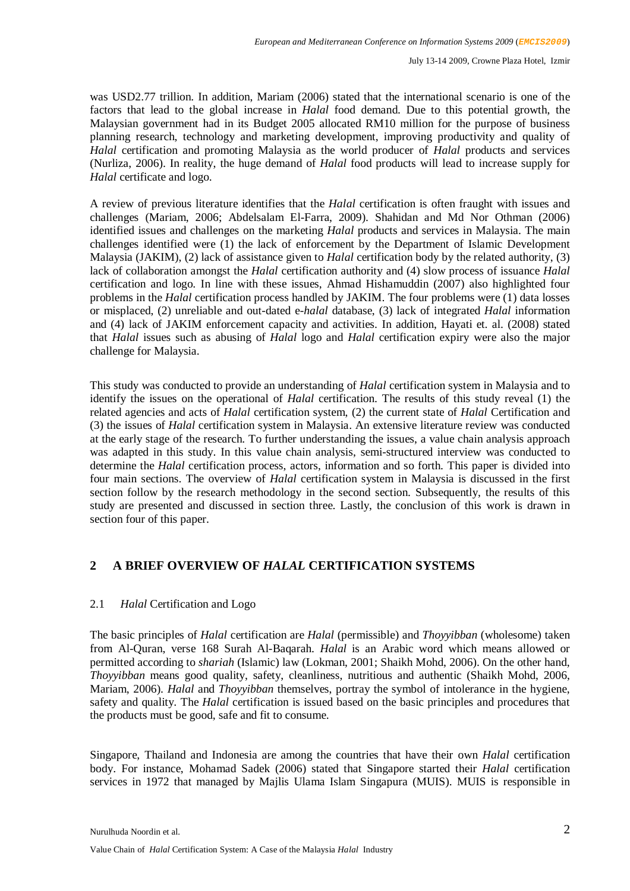was USD2.77 trillion. In addition, Mariam (2006) stated that the international scenario is one of the factors that lead to the global increase in *Halal* food demand. Due to this potential growth, the Malaysian government had in its Budget 2005 allocated RM10 million for the purpose of business planning research, technology and marketing development, improving productivity and quality of *Halal* certification and promoting Malaysia as the world producer of *Halal* products and services (Nurliza, 2006). In reality, the huge demand of *Halal* food products will lead to increase supply for *Halal* certificate and logo.

A review of previous literature identifies that the *Halal* certification is often fraught with issues and challenges (Mariam, 2006; Abdelsalam El-Farra, 2009). Shahidan and Md Nor Othman (2006) identified issues and challenges on the marketing *Halal* products and services in Malaysia. The main challenges identified were (1) the lack of enforcement by the Department of Islamic Development Malaysia (JAKIM), (2) lack of assistance given to *Halal* certification body by the related authority, (3) lack of collaboration amongst the *Halal* certification authority and (4) slow process of issuance *Halal* certification and logo. In line with these issues, Ahmad Hishamuddin (2007) also highlighted four problems in the *Halal* certification process handled by JAKIM. The four problems were (1) data losses or misplaced, (2) unreliable and out-dated e-*halal* database, (3) lack of integrated *Halal* information and (4) lack of JAKIM enforcement capacity and activities. In addition, Hayati et. al. (2008) stated that *Halal* issues such as abusing of *Halal* logo and *Halal* certification expiry were also the major challenge for Malaysia.

This study was conducted to provide an understanding of *Halal* certification system in Malaysia and to identify the issues on the operational of *Halal* certification. The results of this study reveal (1) the related agencies and acts of *Halal* certification system, (2) the current state of *Halal* Certification and (3) the issues of *Halal* certification system in Malaysia. An extensive literature review was conducted at the early stage of the research. To further understanding the issues, a value chain analysis approach was adapted in this study. In this value chain analysis, semi-structured interview was conducted to determine the *Halal* certification process, actors, information and so forth. This paper is divided into four main sections. The overview of *Halal* certification system in Malaysia is discussed in the first section follow by the research methodology in the second section. Subsequently, the results of this study are presented and discussed in section three. Lastly, the conclusion of this work is drawn in section four of this paper.

# **2 A BRIEF OVERVIEW OF** *HALAL* **CERTIFICATION SYSTEMS**

## 2.1 *Halal* Certification and Logo

The basic principles of *Halal* certification are *Halal* (permissible) and *Thoyyibban* (wholesome) taken from Al-Quran, verse 168 Surah Al-Baqarah. *Halal* is an Arabic word which means allowed or permitted according to *shariah* (Islamic) law (Lokman, 2001; Shaikh Mohd, 2006). On the other hand, *Thoyyibban* means good quality, safety, cleanliness, nutritious and authentic (Shaikh Mohd, 2006, Mariam, 2006). *Halal* and *Thoyyibban* themselves, portray the symbol of intolerance in the hygiene, safety and quality*.* The *Halal* certification is issued based on the basic principles and procedures that the products must be good, safe and fit to consume.

Singapore, Thailand and Indonesia are among the countries that have their own *Halal* certification body. For instance, Mohamad Sadek (2006) stated that Singapore started their *Halal* certification services in 1972 that managed by Majlis Ulama Islam Singapura (MUIS). MUIS is responsible in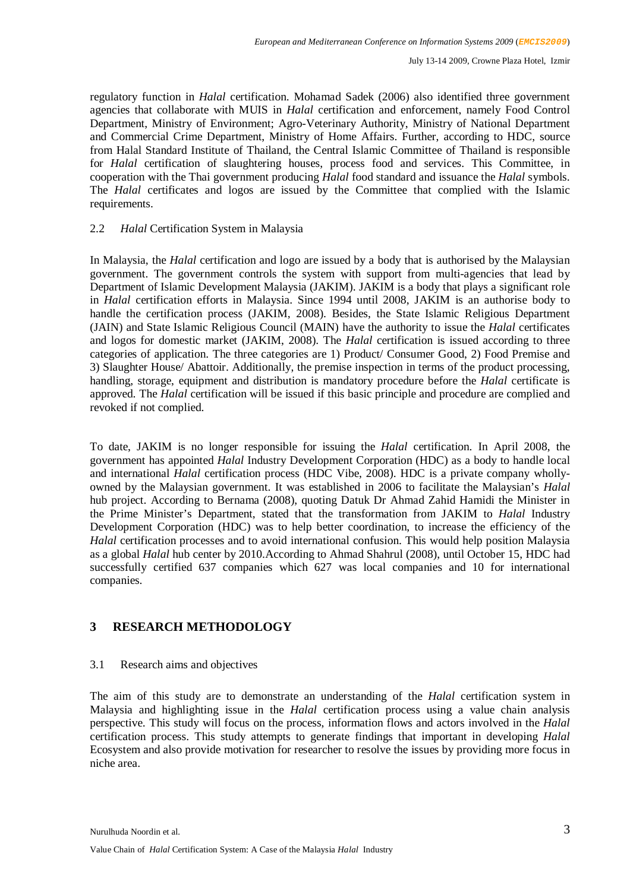regulatory function in *Halal* certification. Mohamad Sadek (2006) also identified three government agencies that collaborate with MUIS in *Halal* certification and enforcement, namely Food Control Department, Ministry of Environment; Agro-Veterinary Authority, Ministry of National Department and Commercial Crime Department, Ministry of Home Affairs. Further, according to HDC, source from Halal Standard Institute of Thailand, the Central Islamic Committee of Thailand is responsible for *Halal* certification of slaughtering houses, process food and services. This Committee, in cooperation with the Thai government producing *Halal* food standard and issuance the *Halal* symbols. The *Halal* certificates and logos are issued by the Committee that complied with the Islamic requirements.

## 2.2 *Halal* Certification System in Malaysia

In Malaysia, the *Halal* certification and logo are issued by a body that is authorised by the Malaysian government. The government controls the system with support from multi-agencies that lead by Department of Islamic Development Malaysia (JAKIM). JAKIM is a body that plays a significant role in *Halal* certification efforts in Malaysia. Since 1994 until 2008, JAKIM is an authorise body to handle the certification process (JAKIM, 2008). Besides, the State Islamic Religious Department (JAIN) and State Islamic Religious Council (MAIN) have the authority to issue the *Halal* certificates and logos for domestic market (JAKIM, 2008). The *Halal* certification is issued according to three categories of application. The three categories are 1) Product/ Consumer Good, 2) Food Premise and 3) Slaughter House/ Abattoir. Additionally, the premise inspection in terms of the product processing, handling, storage, equipment and distribution is mandatory procedure before the *Halal* certificate is approved. The *Halal* certification will be issued if this basic principle and procedure are complied and revoked if not complied.

To date, JAKIM is no longer responsible for issuing the *Halal* certification. In April 2008, the government has appointed *Halal* Industry Development Corporation (HDC) as a body to handle local and international *Halal* certification process (HDC Vibe, 2008). HDC is a private company whollyowned by the Malaysian government. It was established in 2006 to facilitate the Malaysian's *Halal* hub project. According to Bernama (2008), quoting Datuk Dr Ahmad Zahid Hamidi the Minister in the Prime Minister's Department, stated that the transformation from JAKIM to *Halal* Industry Development Corporation (HDC) was to help better coordination, to increase the efficiency of the *Halal* certification processes and to avoid international confusion. This would help position Malaysia as a global *Halal* hub center by 2010.According to Ahmad Shahrul (2008), until October 15, HDC had successfully certified 637 companies which 627 was local companies and 10 for international companies.

# **3 RESEARCH METHODOLOGY**

## 3.1 Research aims and objectives

The aim of this study are to demonstrate an understanding of the *Halal* certification system in Malaysia and highlighting issue in the *Halal* certification process using a value chain analysis perspective. This study will focus on the process, information flows and actors involved in the *Halal*  certification process. This study attempts to generate findings that important in developing *Halal*  Ecosystem and also provide motivation for researcher to resolve the issues by providing more focus in niche area.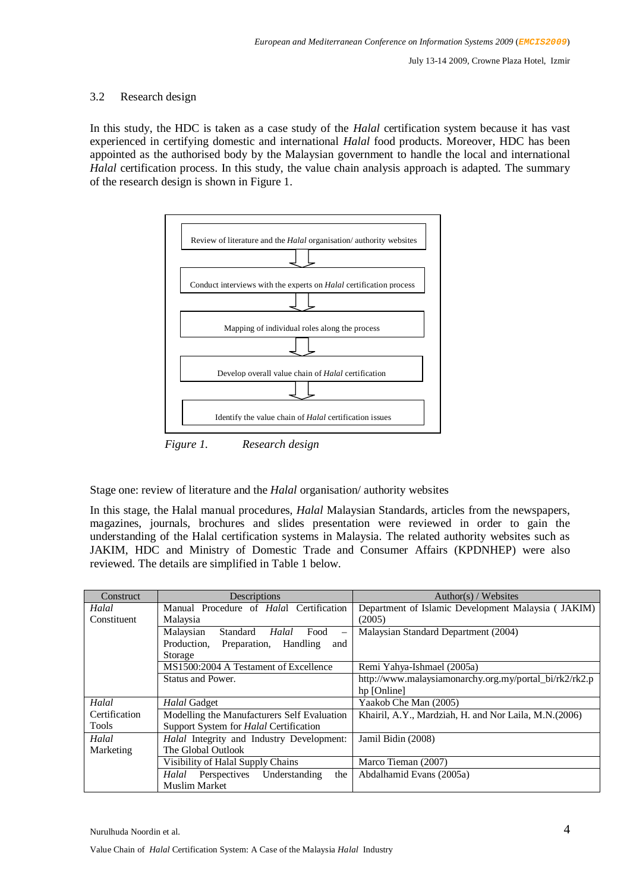## 3.2 Research design

In this study, the HDC is taken as a case study of the *Halal* certification system because it has vast experienced in certifying domestic and international *Halal* food products. Moreover, HDC has been appointed as the authorised body by the Malaysian government to handle the local and international *Halal* certification process. In this study, the value chain analysis approach is adapted. The summary of the research design is shown in Figure 1.



Stage one: review of literature and the *Halal* organisation/ authority websites

In this stage, the Halal manual procedures, *Halal* Malaysian Standards, articles from the newspapers, magazines, journals, brochures and slides presentation were reviewed in order to gain the understanding of the Halal certification systems in Malaysia. The related authority websites such as JAKIM, HDC and Ministry of Domestic Trade and Consumer Affairs (KPDNHEP) were also reviewed. The details are simplified in Table 1 below.

| Construct     | Descriptions                                                               | Author(s) / Websites                                   |
|---------------|----------------------------------------------------------------------------|--------------------------------------------------------|
| Halal         | Manual Procedure of Halal Certification                                    | Department of Islamic Development Malaysia (JAKIM)     |
| Constituent   | Malaysia                                                                   | (2005)                                                 |
|               | Malaysian<br>Halal<br>Standard<br>Food<br>$\overbrace{\phantom{12322111}}$ | Malaysian Standard Department (2004)                   |
|               | Production.<br>Preparation, Handling<br>and                                |                                                        |
|               | Storage                                                                    |                                                        |
|               | MS1500:2004 A Testament of Excellence                                      | Remi Yahya-Ishmael (2005a)                             |
|               | Status and Power.                                                          | http://www.malaysiamonarchy.org.my/portal_bi/rk2/rk2.p |
|               |                                                                            | hp [Online]                                            |
| Halal         | Halal Gadget                                                               | Yaakob Che Man (2005)                                  |
| Certification | Modelling the Manufacturers Self Evaluation                                | Khairil, A.Y., Mardziah, H. and Nor Laila, M.N.(2006)  |
| Tools         | Support System for <i>Halal</i> Certification                              |                                                        |
| Halal         | Halal Integrity and Industry Development:                                  | Jamil Bidin (2008)                                     |
| Marketing     | The Global Outlook                                                         |                                                        |
|               | Visibility of Halal Supply Chains                                          | Marco Tieman (2007)                                    |
|               | Understanding<br>Perspectives<br>Halal<br>the                              | Abdalhamid Evans (2005a)                               |
|               | <b>Muslim Market</b>                                                       |                                                        |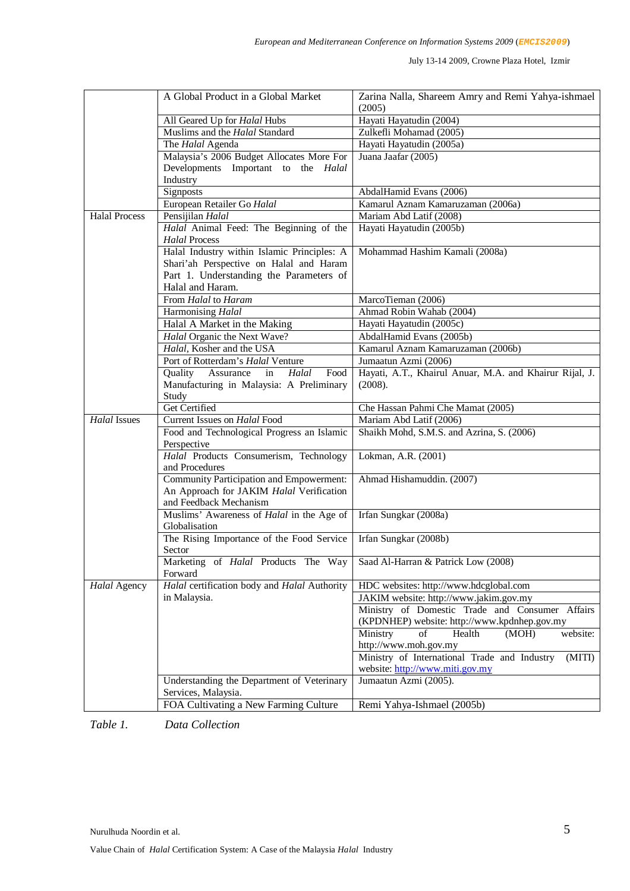|                      | A Global Product in a Global Market                                                         | Zarina Nalla, Shareem Amry and Remi Yahya-ishmael<br>(2005) |
|----------------------|---------------------------------------------------------------------------------------------|-------------------------------------------------------------|
|                      | All Geared Up for Halal Hubs                                                                | Hayati Hayatudin (2004)                                     |
|                      | Muslims and the Halal Standard                                                              | Zulkefli Mohamad (2005)                                     |
|                      | The Halal Agenda                                                                            | Hayati Hayatudin (2005a)                                    |
|                      | Malaysia's 2006 Budget Allocates More For                                                   | Juana Jaafar (2005)                                         |
|                      | Developments Important to the Halal                                                         |                                                             |
|                      | Industry                                                                                    |                                                             |
|                      | Signposts                                                                                   | AbdalHamid Evans (2006)                                     |
|                      | European Retailer Go Halal                                                                  | Kamarul Aznam Kamaruzaman (2006a)                           |
| <b>Halal Process</b> | Pensijilan Halal                                                                            | Mariam Abd Latif (2008)                                     |
|                      | Halal Animal Feed: The Beginning of the                                                     | Hayati Hayatudin (2005b)                                    |
|                      | <b>Halal Process</b>                                                                        |                                                             |
|                      | Halal Industry within Islamic Principles: A                                                 | Mohammad Hashim Kamali (2008a)                              |
|                      | Shari'ah Perspective on Halal and Haram                                                     |                                                             |
|                      | Part 1. Understanding the Parameters of                                                     |                                                             |
|                      | Halal and Haram.                                                                            |                                                             |
|                      | From Halal to Haram                                                                         | MarcoTieman (2006)                                          |
|                      | Harmonising Halal                                                                           | Ahmad Robin Wahab (2004)                                    |
|                      | Halal A Market in the Making                                                                | Hayati Hayatudin (2005c)                                    |
|                      | Halal Organic the Next Wave?                                                                | AbdalHamid Evans (2005b)                                    |
|                      | Halal, Kosher and the USA                                                                   | Kamarul Aznam Kamaruzaman (2006b)                           |
|                      | Port of Rotterdam's Halal Venture                                                           | Jumaatun Azmi (2006)                                        |
|                      | Food<br>Quality Assurance<br>Halal<br>in                                                    | Hayati, A.T., Khairul Anuar, M.A. and Khairur Rijal, J.     |
|                      | Manufacturing in Malaysia: A Preliminary                                                    | (2008).                                                     |
|                      | Study                                                                                       |                                                             |
|                      | <b>Get Certified</b>                                                                        | Che Hassan Pahmi Che Mamat (2005)                           |
| <b>Halal Issues</b>  | Current Issues on Halal Food                                                                | Mariam Abd Latif (2006)                                     |
|                      | Food and Technological Progress an Islamic                                                  | Shaikh Mohd, S.M.S. and Azrina, S. (2006)                   |
|                      | Perspective                                                                                 |                                                             |
|                      | Halal Products Consumerism, Technology<br>and Procedures                                    | Lokman, A.R. (2001)                                         |
|                      | Community Participation and Empowerment:                                                    | Ahmad Hishamuddin. (2007)                                   |
|                      | An Approach for JAKIM Halal Verification                                                    |                                                             |
|                      | and Feedback Mechanism                                                                      |                                                             |
|                      | Muslims' Awareness of Halal in the Age of                                                   | Irfan Sungkar (2008a)                                       |
|                      | Globalisation                                                                               |                                                             |
|                      | The Rising Importance of the Food Service                                                   | Irfan Sungkar (2008b)                                       |
|                      | Sector                                                                                      |                                                             |
|                      | Marketing of <i>Halal</i> Products The Way   Saad Al-Harran & Patrick Low (2008)<br>Forward |                                                             |
| Halal Agency         | Halal certification body and Halal Authority                                                | HDC websites: http://www.hdcglobal.com                      |
|                      | in Malaysia.                                                                                | JAKIM website: http://www.jakim.gov.my                      |
|                      |                                                                                             | Ministry of Domestic Trade and Consumer Affairs             |
|                      |                                                                                             | (KPDNHEP) website: http://www.kpdnhep.gov.my                |
|                      |                                                                                             | Ministry<br>of<br>Health<br>(MOH)<br>website:               |
|                      |                                                                                             | http://www.moh.gov.my                                       |
|                      |                                                                                             | Ministry of International Trade and Industry<br>(MITI)      |
|                      |                                                                                             | website: http://www.miti.gov.my                             |
|                      | Understanding the Department of Veterinary                                                  | Jumaatun Azmi (2005).                                       |
|                      | Services, Malaysia.                                                                         |                                                             |
|                      | FOA Cultivating a New Farming Culture                                                       | Remi Yahya-Ishmael (2005b)                                  |
|                      |                                                                                             |                                                             |

*Table 1. Data Collection*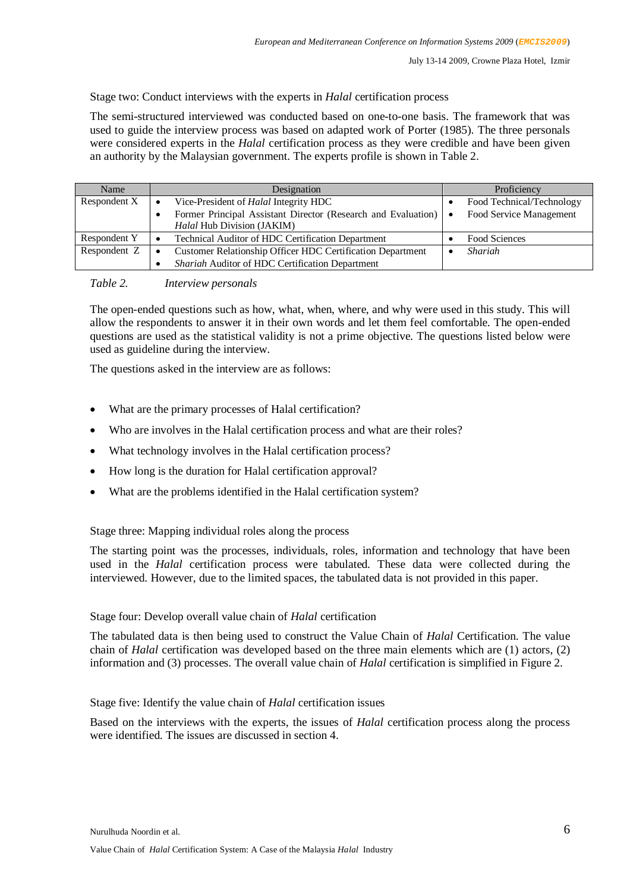Stage two: Conduct interviews with the experts in *Halal* certification process

The semi-structured interviewed was conducted based on one-to-one basis. The framework that was used to guide the interview process was based on adapted work of Porter (1985). The three personals were considered experts in the *Halal* certification process as they were credible and have been given an authority by the Malaysian government. The experts profile is shown in Table 2.

| Name         | Designation                                                       | Proficiency                          |  |
|--------------|-------------------------------------------------------------------|--------------------------------------|--|
| Respondent X | Vice-President of <i>Halal</i> Integrity HDC<br>$\bullet$         | Food Technical/Technology            |  |
|              | Former Principal Assistant Director (Research and Evaluation)     | Food Service Management<br>$\bullet$ |  |
|              | Halal Hub Division (JAKIM)                                        |                                      |  |
| Respondent Y | Technical Auditor of HDC Certification Department                 | Food Sciences                        |  |
| Respondent Z | <b>Customer Relationship Officer HDC Certification Department</b> | Shariah                              |  |
|              | Shariah Auditor of HDC Certification Department                   |                                      |  |

*Table 2. Interview personals*

The open-ended questions such as how, what, when, where, and why were used in this study. This will allow the respondents to answer it in their own words and let them feel comfortable. The open-ended questions are used as the statistical validity is not a prime objective. The questions listed below were used as guideline during the interview.

The questions asked in the interview are as follows:

- What are the primary processes of Halal certification?
- Who are involves in the Halal certification process and what are their roles?
- What technology involves in the Halal certification process?
- How long is the duration for Halal certification approval?
- What are the problems identified in the Halal certification system?

#### Stage three: Mapping individual roles along the process

The starting point was the processes, individuals, roles, information and technology that have been used in the *Halal* certification process were tabulated. These data were collected during the interviewed. However, due to the limited spaces, the tabulated data is not provided in this paper.

#### Stage four: Develop overall value chain of *Halal* certification

The tabulated data is then being used to construct the Value Chain of *Halal* Certification. The value chain of *Halal* certification was developed based on the three main elements which are (1) actors, (2) information and (3) processes. The overall value chain of *Halal* certification is simplified in Figure 2.

#### Stage five: Identify the value chain of *Halal* certification issues

Based on the interviews with the experts, the issues of *Halal* certification process along the process were identified. The issues are discussed in section 4.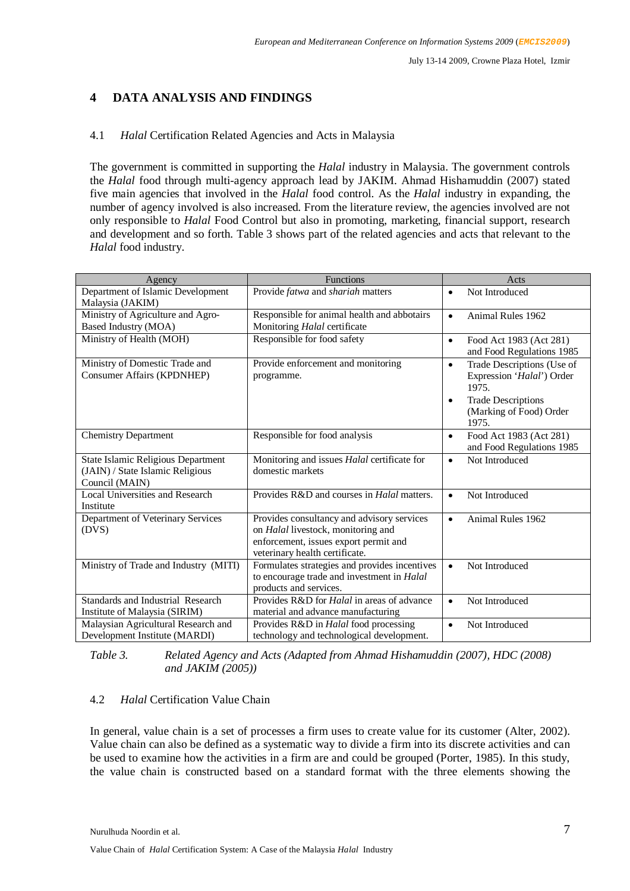# **4 DATA ANALYSIS AND FINDINGS**

## 4.1 *Halal* Certification Related Agencies and Acts in Malaysia

The government is committed in supporting the *Halal* industry in Malaysia. The government controls the *Halal* food through multi-agency approach lead by JAKIM. Ahmad Hishamuddin (2007) stated five main agencies that involved in the *Halal* food control. As the *Halal* industry in expanding, the number of agency involved is also increased. From the literature review, the agencies involved are not only responsible to *Halal* Food Control but also in promoting, marketing, financial support, research and development and so forth. Table 3 shows part of the related agencies and acts that relevant to the *Halal* food industry.

| Agency                                                                                   | <b>Functions</b>                                                                                                                                            | Acts                                                                                                                                                |
|------------------------------------------------------------------------------------------|-------------------------------------------------------------------------------------------------------------------------------------------------------------|-----------------------------------------------------------------------------------------------------------------------------------------------------|
| Department of Islamic Development<br>Malaysia (JAKIM)                                    | Provide fatwa and shariah matters                                                                                                                           | Not Introduced<br>$\bullet$                                                                                                                         |
| Ministry of Agriculture and Agro-<br>Based Industry (MOA)                                | Responsible for animal health and abbotairs<br>Monitoring Halal certificate                                                                                 | Animal Rules 1962<br>$\bullet$                                                                                                                      |
| Ministry of Health (MOH)                                                                 | Responsible for food safety                                                                                                                                 | Food Act 1983 (Act 281)<br>$\bullet$<br>and Food Regulations 1985                                                                                   |
| Ministry of Domestic Trade and<br><b>Consumer Affairs (KPDNHEP)</b>                      | Provide enforcement and monitoring<br>programme.                                                                                                            | Trade Descriptions (Use of<br>$\bullet$<br>Expression 'Halal') Order<br>1975.<br><b>Trade Descriptions</b><br>٠<br>(Marking of Food) Order<br>1975. |
| <b>Chemistry Department</b>                                                              | Responsible for food analysis                                                                                                                               | Food Act 1983 (Act 281)<br>$\bullet$<br>and Food Regulations 1985                                                                                   |
| State Islamic Religious Department<br>(JAIN) / State Islamic Religious<br>Council (MAIN) | Monitoring and issues Halal certificate for<br>domestic markets                                                                                             | Not Introduced<br>$\bullet$                                                                                                                         |
| <b>Local Universities and Research</b><br>Institute                                      | Provides R&D and courses in <i>Halal</i> matters.                                                                                                           | Not Introduced<br>$\bullet$                                                                                                                         |
| Department of Veterinary Services<br>(DVS)                                               | Provides consultancy and advisory services<br>on Halal livestock, monitoring and<br>enforcement, issues export permit and<br>veterinary health certificate. | Animal Rules 1962<br>$\bullet$                                                                                                                      |
| Ministry of Trade and Industry (MITI)                                                    | Formulates strategies and provides incentives<br>to encourage trade and investment in Halal<br>products and services.                                       | Not Introduced<br>$\bullet$                                                                                                                         |
| Standards and Industrial Research<br>Institute of Malaysia (SIRIM)                       | Provides R&D for <i>Halal</i> in areas of advance<br>material and advance manufacturing                                                                     | Not Introduced<br>$\bullet$                                                                                                                         |
| Malaysian Agricultural Research and<br>Development Institute (MARDI)                     | Provides R&D in <i>Halal</i> food processing<br>technology and technological development.                                                                   | Not Introduced<br>$\bullet$                                                                                                                         |

*Table 3. Related Agency and Acts (Adapted from Ahmad Hishamuddin (2007), HDC (2008) and JAKIM (2005))*

## 4.2 *Halal* Certification Value Chain

In general, value chain is a set of processes a firm uses to create value for its customer (Alter, 2002). Value chain can also be defined as a systematic way to divide a firm into its discrete activities and can be used to examine how the activities in a firm are and could be grouped (Porter, 1985). In this study, the value chain is constructed based on a standard format with the three elements showing the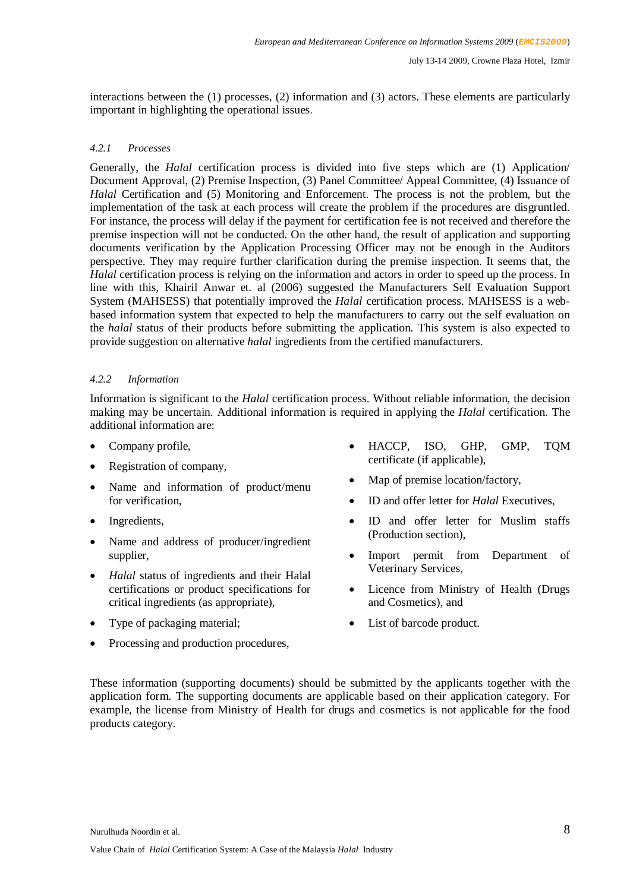interactions between the (1) processes, (2) information and (3) actors. These elements are particularly important in highlighting the operational issues.

## *4.2.1 Processes*

Generally, the *Halal* certification process is divided into five steps which are (1) Application/ Document Approval, (2) Premise Inspection, (3) Panel Committee/ Appeal Committee, (4) Issuance of *Halal* Certification and (5) Monitoring and Enforcement. The process is not the problem, but the implementation of the task at each process will create the problem if the procedures are disgruntled. For instance, the process will delay if the payment for certification fee is not received and therefore the premise inspection will not be conducted. On the other hand, the result of application and supporting documents verification by the Application Processing Officer may not be enough in the Auditors perspective. They may require further clarification during the premise inspection. It seems that, the *Halal* certification process is relying on the information and actors in order to speed up the process. In line with this, Khairil Anwar et. al (2006) suggested the Manufacturers Self Evaluation Support System (MAHSESS) that potentially improved the *Halal* certification process. MAHSESS is a webbased information system that expected to help the manufacturers to carry out the self evaluation on the *halal* status of their products before submitting the application. This system is also expected to provide suggestion on alternative *halal* ingredients from the certified manufacturers.

#### *4.2.2 Information*

Information is significant to the *Halal* certification process. Without reliable information, the decision making may be uncertain. Additional information is required in applying the *Halal* certification. The additional information are:

- Company profile,
- Registration of company,
- Name and information of product/menu for verification,
- Ingredients,
- Name and address of producer/ingredient supplier,
- *Halal* status of ingredients and their Halal certifications or product specifications for critical ingredients (as appropriate),
- Type of packaging material;
- Processing and production procedures,
- HACCP, ISO, GHP, GMP, TQM certificate (if applicable),
- Map of premise location/factory,
- ID and offer letter for *Halal* Executives,
- ID and offer letter for Muslim staffs (Production section),
- Import permit from Department of Veterinary Services,
- Licence from Ministry of Health (Drugs and Cosmetics), and
- List of barcode product.

These information (supporting documents) should be submitted by the applicants together with the application form. The supporting documents are applicable based on their application category. For example, the license from Ministry of Health for drugs and cosmetics is not applicable for the food products category.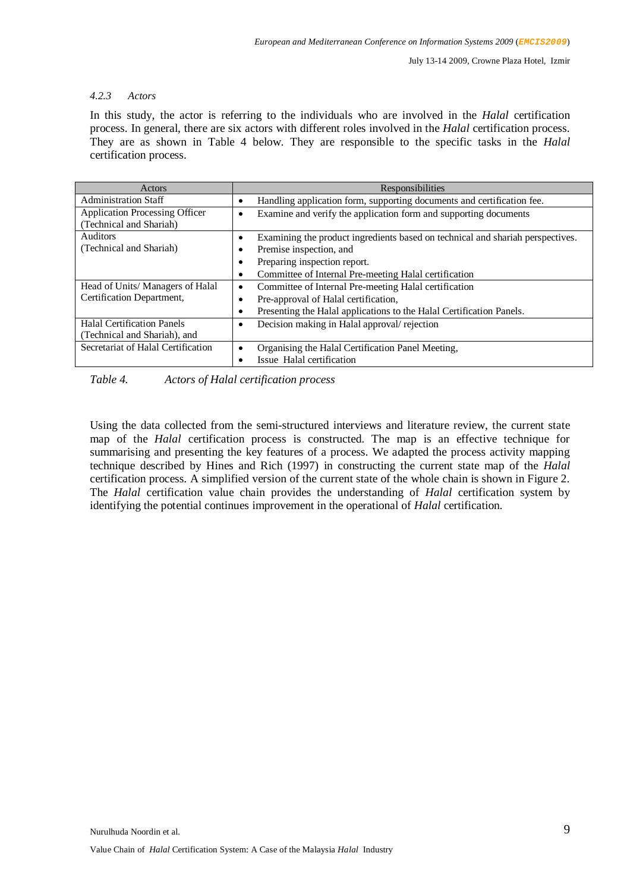#### *4.2.3 Actors*

In this study, the actor is referring to the individuals who are involved in the *Halal* certification process. In general, there are six actors with different roles involved in the *Halal* certification process. They are as shown in Table 4 below. They are responsible to the specific tasks in the *Halal*  certification process.

| Actors                                | Responsibilities                                                                            |  |  |
|---------------------------------------|---------------------------------------------------------------------------------------------|--|--|
| <b>Administration Staff</b>           | Handling application form, supporting documents and certification fee.                      |  |  |
| <b>Application Processing Officer</b> | Examine and verify the application form and supporting documents<br>٠                       |  |  |
| (Technical and Shariah)               |                                                                                             |  |  |
| <b>Auditors</b>                       | Examining the product ingredients based on technical and shariah perspectives.<br>$\bullet$ |  |  |
| (Technical and Shariah)               | Premise inspection, and<br>$\bullet$                                                        |  |  |
|                                       | Preparing inspection report.<br>٠                                                           |  |  |
|                                       | Committee of Internal Pre-meeting Halal certification<br>$\bullet$                          |  |  |
| Head of Units/Managers of Halal       | Committee of Internal Pre-meeting Halal certification<br>$\bullet$                          |  |  |
| Certification Department,             | Pre-approval of Halal certification,<br>$\bullet$                                           |  |  |
|                                       | Presenting the Halal applications to the Halal Certification Panels.<br>٠                   |  |  |
| <b>Halal Certification Panels</b>     | Decision making in Halal approval/rejection<br>$\bullet$                                    |  |  |
| (Technical and Shariah), and          |                                                                                             |  |  |
| Secretariat of Halal Certification    | Organising the Halal Certification Panel Meeting,<br>٠                                      |  |  |
|                                       | Issue Halal certification                                                                   |  |  |

*Table 4. Actors of Halal certification process* 

Using the data collected from the semi-structured interviews and literature review, the current state map of the *Halal* certification process is constructed. The map is an effective technique for summarising and presenting the key features of a process. We adapted the process activity mapping technique described by Hines and Rich (1997) in constructing the current state map of the *Halal*  certification process. A simplified version of the current state of the whole chain is shown in Figure 2. The *Halal* certification value chain provides the understanding of *Halal* certification system by identifying the potential continues improvement in the operational of *Halal* certification.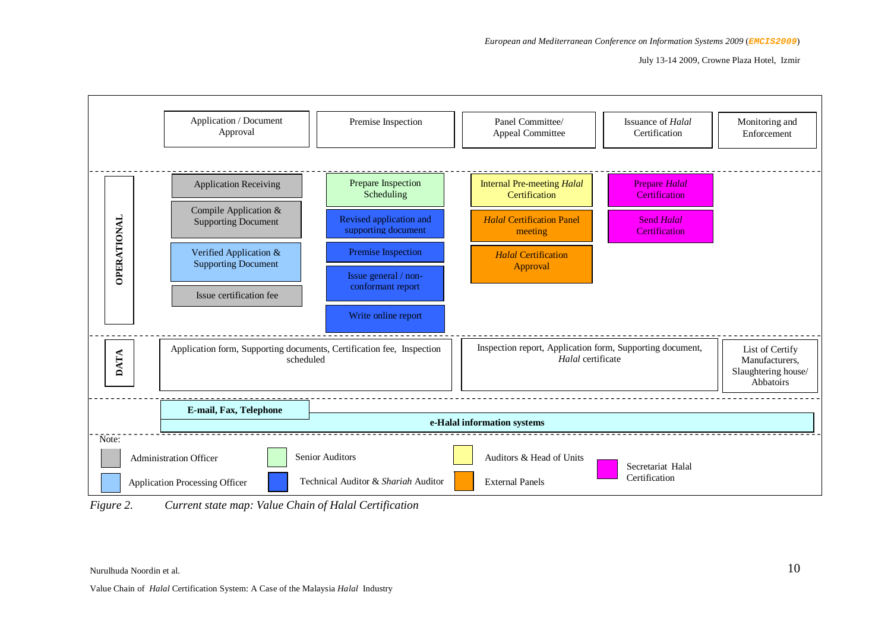July 13-14 2009, Crowne Plaza Hotel, Izmir



*Figure 2. Current state map: Value Chain of Halal Certification*

Nurulhuda Noordin et al.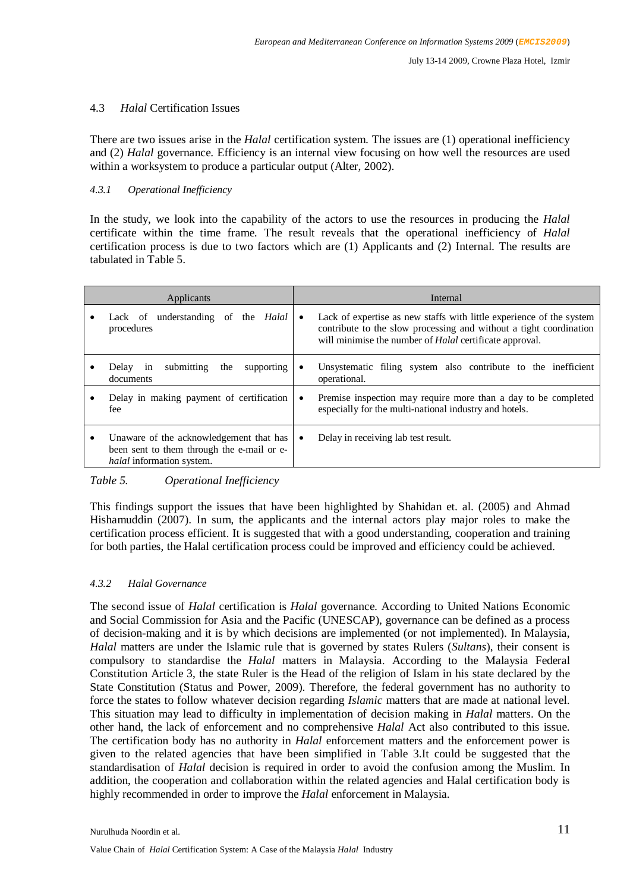#### 4.3 *Halal* Certification Issues

There are two issues arise in the *Halal* certification system. The issues are (1) operational inefficiency and (2) *Halal* governance. Efficiency is an internal view focusing on how well the resources are used within a worksystem to produce a particular output (Alter, 2002).

#### *4.3.1 Operational Inefficiency*

In the study, we look into the capability of the actors to use the resources in producing the *Halal* certificate within the time frame. The result reveals that the operational inefficiency of *Halal* certification process is due to two factors which are (1) Applicants and (2) Internal. The results are tabulated in Table 5.

| Applicants                                                                                                                |                                                             |           | Internal                                                                                                                                                                                                     |
|---------------------------------------------------------------------------------------------------------------------------|-------------------------------------------------------------|-----------|--------------------------------------------------------------------------------------------------------------------------------------------------------------------------------------------------------------|
|                                                                                                                           | Lack of understanding of the<br>Halal<br>procedures         | $\bullet$ | Lack of expertise as new staffs with little experience of the system<br>contribute to the slow processing and without a tight coordination<br>will minimise the number of <i>Halal</i> certificate approval. |
|                                                                                                                           | supporting<br>submitting<br>the<br>Delav<br>1n<br>documents |           | Unsystematic filing system also contribute to the inefficient<br>operational.                                                                                                                                |
|                                                                                                                           | Delay in making payment of certification<br>fee             | $\bullet$ | Premise inspection may require more than a day to be completed<br>especially for the multi-national industry and hotels.                                                                                     |
| Unaware of the acknowledgement that has<br>been sent to them through the e-mail or e-<br><i>halal</i> information system. |                                                             | ٠         | Delay in receiving lab test result.                                                                                                                                                                          |

#### *Table 5. Operational Inefficiency*

This findings support the issues that have been highlighted by Shahidan et. al. (2005) and Ahmad Hishamuddin (2007). In sum, the applicants and the internal actors play major roles to make the certification process efficient. It is suggested that with a good understanding, cooperation and training for both parties, the Halal certification process could be improved and efficiency could be achieved.

#### *4.3.2 Halal Governance*

The second issue of *Halal* certification is *Halal* governance. According to United Nations Economic and Social Commission for Asia and the Pacific (UNESCAP), governance can be defined as a process of decision-making and it is by which decisions are implemented (or not implemented). In Malaysia, *Halal* matters are under the Islamic rule that is governed by states Rulers (*Sultans*), their consent is compulsory to standardise the *Halal* matters in Malaysia. According to the Malaysia Federal Constitution Article 3, the state Ruler is the Head of the religion of Islam in his state declared by the State Constitution (Status and Power, 2009). Therefore, the federal government has no authority to force the states to follow whatever decision regarding *Islamic* matters that are made at national level. This situation may lead to difficulty in implementation of decision making in *Halal* matters. On the other hand, the lack of enforcement and no comprehensive *Halal* Act also contributed to this issue. The certification body has no authority in *Halal* enforcement matters and the enforcement power is given to the related agencies that have been simplified in Table 3.It could be suggested that the standardisation of *Halal* decision is required in order to avoid the confusion among the Muslim. In addition, the cooperation and collaboration within the related agencies and Halal certification body is highly recommended in order to improve the *Halal* enforcement in Malaysia.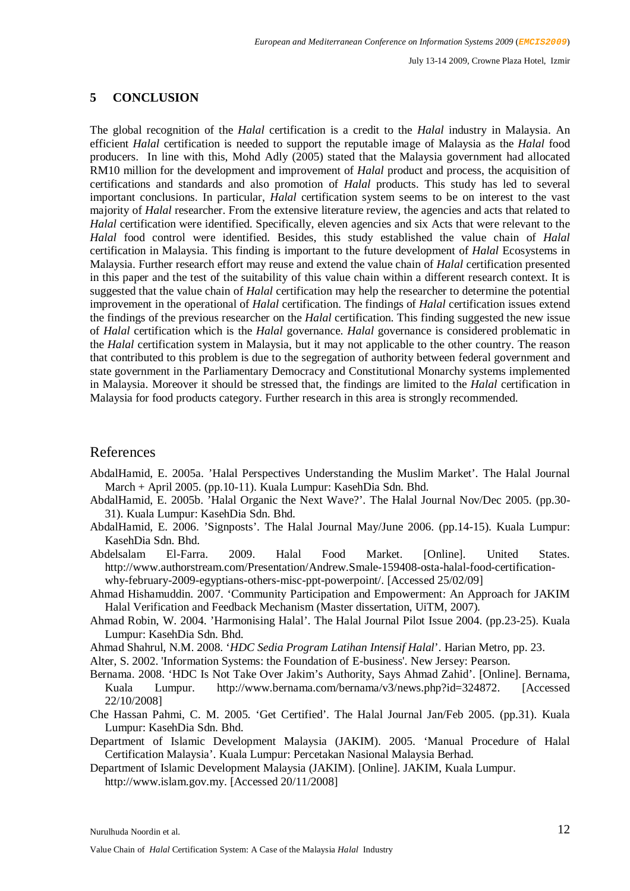July 13-14 2009, Crowne Plaza Hotel, Izmir

## **5 CONCLUSION**

The global recognition of the *Halal* certification is a credit to the *Halal* industry in Malaysia. An efficient *Halal* certification is needed to support the reputable image of Malaysia as the *Halal* food producers. In line with this, Mohd Adly (2005) stated that the Malaysia government had allocated RM10 million for the development and improvement of *Halal* product and process, the acquisition of certifications and standards and also promotion of *Halal* products. This study has led to several important conclusions. In particular, *Halal* certification system seems to be on interest to the vast majority of *Halal* researcher. From the extensive literature review, the agencies and acts that related to *Halal* certification were identified. Specifically, eleven agencies and six Acts that were relevant to the *Halal* food control were identified. Besides, this study established the value chain of *Halal* certification in Malaysia. This finding is important to the future development of *Halal* Ecosystems in Malaysia. Further research effort may reuse and extend the value chain of *Halal* certification presented in this paper and the test of the suitability of this value chain within a different research context. It is suggested that the value chain of *Halal* certification may help the researcher to determine the potential improvement in the operational of *Halal* certification. The findings of *Halal* certification issues extend the findings of the previous researcher on the *Halal* certification. This finding suggested the new issue of *Halal* certification which is the *Halal* governance. *Halal* governance is considered problematic in the *Halal* certification system in Malaysia, but it may not applicable to the other country. The reason that contributed to this problem is due to the segregation of authority between federal government and state government in the Parliamentary Democracy and Constitutional Monarchy systems implemented in Malaysia. Moreover it should be stressed that, the findings are limited to the *Halal* certification in Malaysia for food products category. Further research in this area is strongly recommended.

## References

- AbdalHamid, E. 2005a. 'Halal Perspectives Understanding the Muslim Market'. The Halal Journal March + April 2005. (pp.10-11). Kuala Lumpur: KasehDia Sdn. Bhd.
- AbdalHamid, E. 2005b. 'Halal Organic the Next Wave?'. The Halal Journal Nov/Dec 2005. (pp.30- 31). Kuala Lumpur: KasehDia Sdn. Bhd.
- AbdalHamid, E. 2006. 'Signposts'. The Halal Journal May/June 2006. (pp.14-15). Kuala Lumpur: KasehDia Sdn. Bhd.
- Abdelsalam El-Farra. 2009. Halal Food Market. [Online]. United States. http://www.authorstream.com/Presentation/Andrew.Smale-159408-osta-halal-food-certificationwhy-february-2009-egyptians-others-misc-ppt-powerpoint/. [Accessed 25/02/09]
- Ahmad Hishamuddin. 2007. 'Community Participation and Empowerment: An Approach for JAKIM Halal Verification and Feedback Mechanism (Master dissertation, UiTM, 2007).
- Ahmad Robin, W. 2004. 'Harmonising Halal'. The Halal Journal Pilot Issue 2004. (pp.23-25). Kuala Lumpur: KasehDia Sdn. Bhd.
- Ahmad Shahrul, N.M. 2008. '*HDC Sedia Program Latihan Intensif Halal*'. Harian Metro, pp. 23.
- Alter, S. 2002. 'Information Systems: the Foundation of E-business'. New Jersey: Pearson.
- Bernama. 2008. 'HDC Is Not Take Over Jakim's Authority, Says Ahmad Zahid'. [Online]. Bernama, Kuala Lumpur. http://www.bernama.com/bernama/v3/news.php?id=324872. [Accessed 22/10/2008]
- Che Hassan Pahmi, C. M. 2005. 'Get Certified'. The Halal Journal Jan/Feb 2005. (pp.31). Kuala Lumpur: KasehDia Sdn. Bhd.
- Department of Islamic Development Malaysia (JAKIM). 2005. 'Manual Procedure of Halal Certification Malaysia'. Kuala Lumpur: Percetakan Nasional Malaysia Berhad.
- Department of Islamic Development Malaysia (JAKIM). [Online]. JAKIM, Kuala Lumpur. http://www.islam.gov.my. [Accessed 20/11/2008]

Nurulhuda Noordin et al.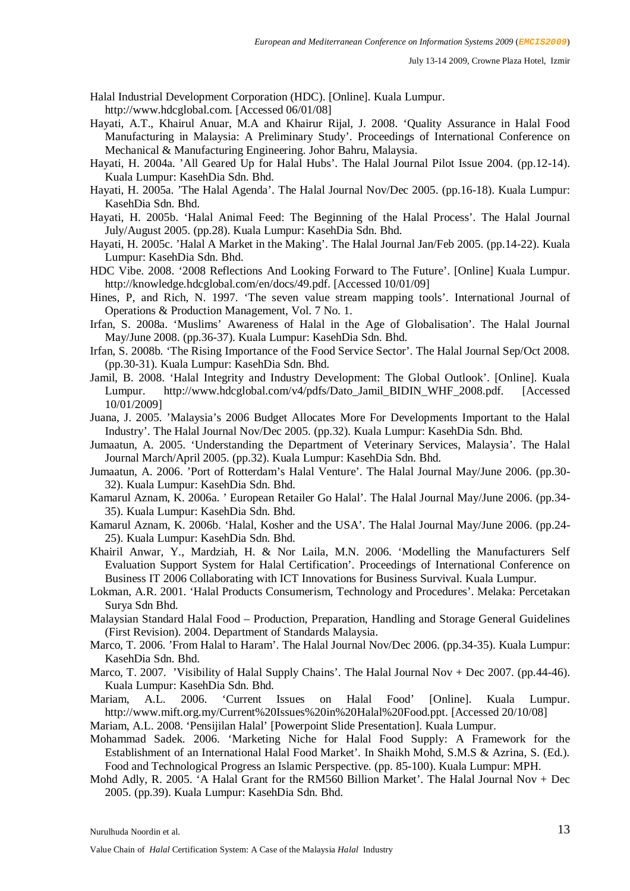Halal Industrial Development Corporation (HDC). [Online]. Kuala Lumpur.

http://www.hdcglobal.com. [Accessed 06/01/08]

- Hayati, A.T., Khairul Anuar, M.A and Khairur Rijal, J. 2008. 'Quality Assurance in Halal Food Manufacturing in Malaysia: A Preliminary Study'. Proceedings of International Conference on Mechanical & Manufacturing Engineering. Johor Bahru, Malaysia.
- Hayati, H. 2004a. 'All Geared Up for Halal Hubs'. The Halal Journal Pilot Issue 2004. (pp.12-14). Kuala Lumpur: KasehDia Sdn. Bhd.
- Hayati, H. 2005a. 'The Halal Agenda'. The Halal Journal Nov/Dec 2005. (pp.16-18). Kuala Lumpur: KasehDia Sdn. Bhd.
- Hayati, H. 2005b. 'Halal Animal Feed: The Beginning of the Halal Process'. The Halal Journal July/August 2005. (pp.28). Kuala Lumpur: KasehDia Sdn. Bhd.
- Hayati, H. 2005c. 'Halal A Market in the Making'. The Halal Journal Jan/Feb 2005. (pp.14-22). Kuala Lumpur: KasehDia Sdn. Bhd.
- HDC Vibe. 2008. '2008 Reflections And Looking Forward to The Future'. [Online] Kuala Lumpur. http://knowledge.hdcglobal.com/en/docs/49.pdf. [Accessed 10/01/09]
- Hines, P, and Rich, N. 1997. 'The seven value stream mapping tools'. International Journal of Operations & Production Management, Vol. 7 No. 1.
- Irfan, S. 2008a. 'Muslims' Awareness of Halal in the Age of Globalisation'. The Halal Journal May/June 2008. (pp.36-37). Kuala Lumpur: KasehDia Sdn. Bhd.
- Irfan, S. 2008b. 'The Rising Importance of the Food Service Sector'. The Halal Journal Sep/Oct 2008. (pp.30-31). Kuala Lumpur: KasehDia Sdn. Bhd.
- Jamil, B. 2008. 'Halal Integrity and Industry Development: The Global Outlook'. [Online]. Kuala Lumpur. http://www.hdcglobal.com/v4/pdfs/Dato\_Jamil\_BIDIN\_WHF\_2008.pdf. [Accessed 10/01/2009]
- Juana, J. 2005. 'Malaysia's 2006 Budget Allocates More For Developments Important to the Halal Industry'. The Halal Journal Nov/Dec 2005. (pp.32). Kuala Lumpur: KasehDia Sdn. Bhd.
- Jumaatun, A. 2005. 'Understanding the Department of Veterinary Services, Malaysia'. The Halal Journal March/April 2005. (pp.32). Kuala Lumpur: KasehDia Sdn. Bhd.
- Jumaatun, A. 2006. 'Port of Rotterdam's Halal Venture'. The Halal Journal May/June 2006. (pp.30- 32). Kuala Lumpur: KasehDia Sdn. Bhd.
- Kamarul Aznam, K. 2006a. ' European Retailer Go Halal'. The Halal Journal May/June 2006. (pp.34- 35). Kuala Lumpur: KasehDia Sdn. Bhd.
- Kamarul Aznam, K. 2006b. 'Halal, Kosher and the USA'. The Halal Journal May/June 2006. (pp.24- 25). Kuala Lumpur: KasehDia Sdn. Bhd.
- Khairil Anwar, Y., Mardziah, H. & Nor Laila, M.N. 2006. 'Modelling the Manufacturers Self Evaluation Support System for Halal Certification'. Proceedings of International Conference on Business IT 2006 Collaborating with ICT Innovations for Business Survival. Kuala Lumpur.
- Lokman, A.R. 2001. 'Halal Products Consumerism, Technology and Procedures'. Melaka: Percetakan Surya Sdn Bhd.
- Malaysian Standard Halal Food Production, Preparation, Handling and Storage General Guidelines (First Revision). 2004. Department of Standards Malaysia.
- Marco, T. 2006. 'From Halal to Haram'. The Halal Journal Nov/Dec 2006. (pp.34-35). Kuala Lumpur: KasehDia Sdn. Bhd.
- Marco, T. 2007. 'Visibility of Halal Supply Chains'. The Halal Journal Nov + Dec 2007. (pp.44-46). Kuala Lumpur: KasehDia Sdn. Bhd.
- Mariam, A.L. 2006. 'Current Issues on Halal Food' [Online]. Kuala Lumpur. http://www.mift.org.my/Current%20Issues%20in%20Halal%20Food.ppt. [Accessed 20/10/08]

Mariam, A.L. 2008. 'Pensijilan Halal' [Powerpoint Slide Presentation]. Kuala Lumpur.

- Mohammad Sadek. 2006. 'Marketing Niche for Halal Food Supply: A Framework for the Establishment of an International Halal Food Market'. In Shaikh Mohd, S.M.S & Azrina, S. (Ed.). Food and Technological Progress an Islamic Perspective. (pp. 85-100). Kuala Lumpur: MPH.
- Mohd Adly, R. 2005. 'A Halal Grant for the RM560 Billion Market'. The Halal Journal Nov + Dec 2005. (pp.39). Kuala Lumpur: KasehDia Sdn. Bhd.